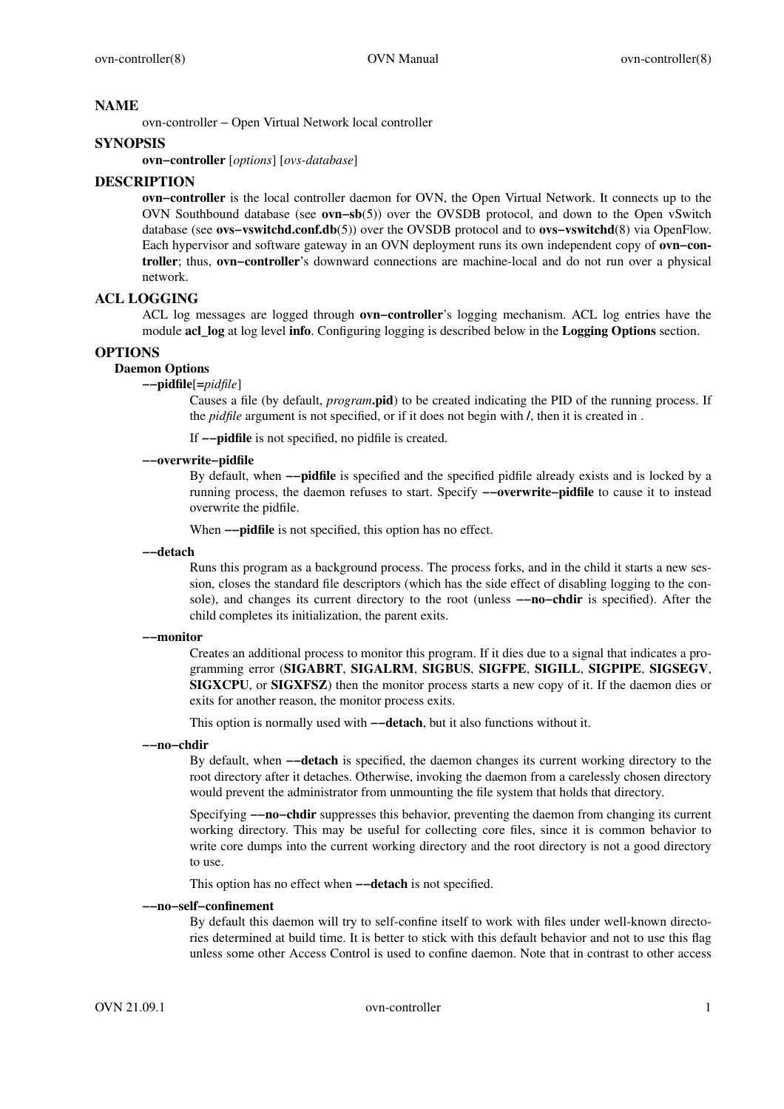# **NAME**

ovn-controller − Open Virtual Network local controller

# **SYNOPSIS**

**ovn−controller** [*options*] [*ovs-database*]

# **DESCRIPTION**

**ovn−controller** is the local controller daemon for OVN, the Open Virtual Network. It connects up to the OVN Southbound database (see **ovn−sb**(5)) over the OVSDB protocol, and down to the Open vSwitch database (see **ovs−vswitchd.conf.db**(5)) over the OVSDB protocol and to **ovs−vswitchd**(8) via OpenFlow. Each hypervisor and software gateway in an OVN deployment runs its own independent copy of **ovn−controller**; thus, **ovn−controller**'s downward connections are machine-local and do not run overaphysical network.

# **ACL LOGGING**

ACL log messages are logged through **ovn−controller**'s logging mechanism. ACL log entries have the module **acl\_log** at log level **info**. Configuring logging is described below in the **Logging Options** section.

# **OPTIONS**

# **Daemon Options**

### **−−pidfile**[**=***pidfile*]

Causes a file (by default, *program***.pid**) to be created indicating the PID of the running process. If the *pidfile* argument is not specified, or if it does not begin with **/**, then it is created in .

If **−−pidfile** is not specified, no pidfile is created.

# **−−overwrite−pidfile**

By default, when **−−pidfile** is specified and the specified pidfile already exists and is locked by a running process, the daemon refuses to start. Specify **−−overwrite−pidfile** to cause it to instead overwrite the pidfile.

When **−−pidfile** is not specified, this option has no effect.

#### **−−detach**

Runs this program as a background process. The process forks, and in the child it starts a new session, closes the standard file descriptors (which has the side effect of disabling logging to the console), and changes its current directory to the root (unless **−−no−chdir** is specified). After the child completes its initialization, the parent exits.

## **−−monitor**

Creates an additional process to monitor this program. If it dies due to a signal that indicates a programming error (**SIGABRT**, **SIGALRM**, **SIGBUS**, **SIGFPE**, **SIGILL**, **SIGPIPE**, **SIGSEGV**, **SIGXCPU**, or **SIGXFSZ**) then the monitor process starts a new copy of it. If the daemon dies or exits for another reason, the monitor process exits.

This option is normally used with **−−detach**, but it also functions without it.

#### **−−no−chdir**

By default, when **−−detach** is specified, the daemon changes its current working directory to the root directory after it detaches. Otherwise, invoking the daemon from a carelessly chosen directory would prevent the administrator from unmounting the file system that holds that directory.

Specifying **−−no−chdir** suppresses this behavior, preventing the daemon from changing its current working directory. This may be useful for collecting core files, since it is common behavior to write core dumps into the current working directory and the root directory is not a good directory to use.

This option has no effect when **−−detach** is not specified.

# **−−no−self−confinement**

By default this daemon will try to self-confine itself to work with files under well-known directories determined at build time. It is better to stick with this default behavior and not to use this flag unless some other Access Control is used to confine daemon. Note that in contrast to other access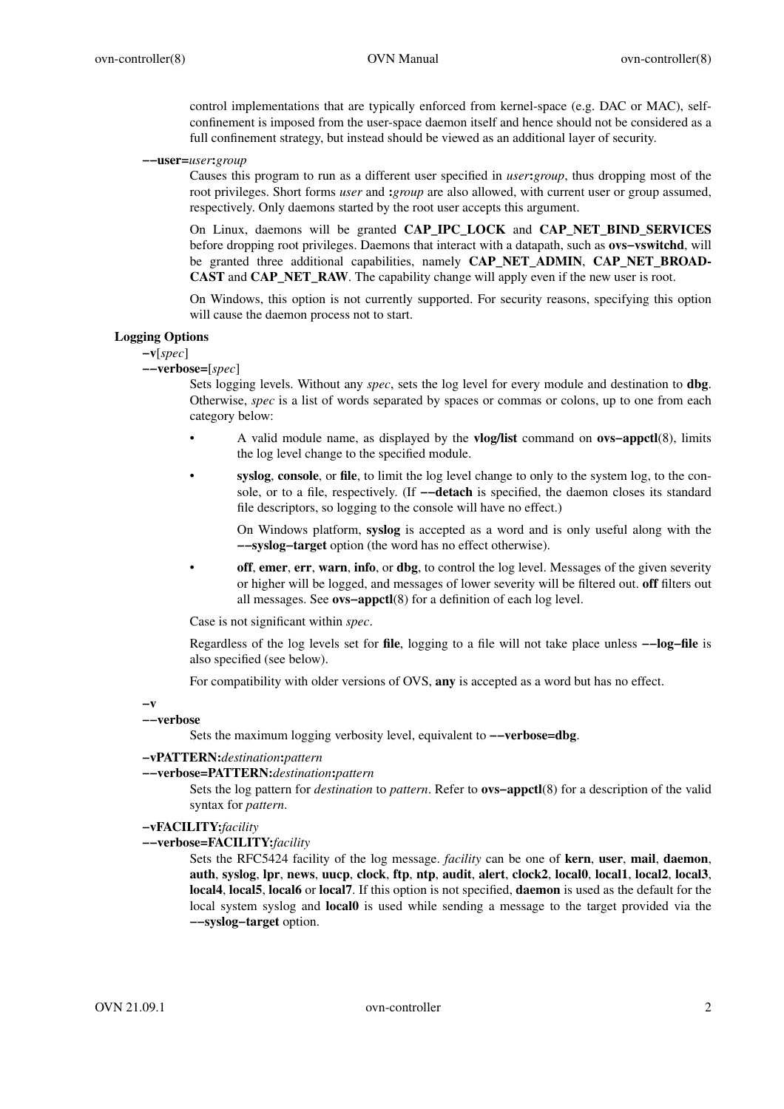control implementations that are typically enforced from kernel-space (e.g. DAC or MAC), selfconfinement is imposed from the user-space daemon itself and hence should not be considered as a full confinement strategy, but instead should be viewed as an additional layer of security.

**−−user=***user***:***group*

Causes this program to run as a different user specified in *user***:***group*, thus dropping most of the root privileges. Short forms *user* and **:***group* are also allowed, with current user or group assumed, respectively. Only daemons started by the root user accepts this argument.

On Linux, daemons will be granted **CAP\_IPC\_LOCK** and **CAP\_NET\_BIND\_SERVICES** before dropping root privileges. Daemons that interact with a datapath, such as **ovs−vswitchd**, will be granted three additional capabilities, namely **CAP\_NET\_ADMIN**, **CAP\_NET\_BROAD-CAST** and **CAP\_NET\_RAW**. The capability change will apply even if the new user is root.

On Windows, this option is not currently supported. For security reasons, specifying this option will cause the daemon process not to start.

# **Logging Options**

**−v**[*spec*]

**−−verbose=**[*spec*]

Sets logging levels. Without any *spec*, sets the log level for every module and destination to **dbg**. Otherwise, *spec* is a list of words separated by spaces or commas or colons, up to one from each category below:

- A valid module name, as displayed by the **vlog/list** command on **ovs−appctl**(8), limits the log level change to the specified module.
- **syslog**, **console**, or **file**, to limit the log level change to only to the system log, to the console, or to a file, respectively. (If **−−detach** is specified, the daemon closes its standard file descriptors, so logging to the console will have no effect.)

On Windows platform, **syslog** is accepted as a word and is only useful along with the **−−syslog−target** option (the word has no effect otherwise).

**off**, **emer**, **err**, **warn**, **info**, or **dbg**, to control the log level. Messages of the given severity or higher will be logged, and messages of lower severity will be filtered out. **off** filters out all messages. See **ovs−appctl**(8) for a definition of each log level.

Case is not significant within *spec*.

Regardless of the log levels set for **file**, logging to a file will not take place unless **−−log−file** is also specified (see below).

For compatibility with older versions of OVS, **any** is accepted as a word but has no effect.

**−v**

### **−−verbose**

Sets the maximum logging verbosity level, equivalent to **−−verbose=dbg**.

#### **−vPATTERN:***destination***:***pattern*

# **−−verbose=PATTERN:***destination***:***pattern*

Sets the log pattern for *destination* to *pattern*. Refer to **ovs−appctl**(8) for a description of the valid syntax for *pattern*.

# **−vFACILITY:***facility*

**−−verbose=FACILITY:***facility*

Sets the RFC5424 facility of the log message. *facility* can be one of **kern**, **user**, **mail**, **daemon**, **auth**, **syslog**, **lpr**, **news**, **uucp**, **clock**, **ftp**, **ntp**, **audit**, **alert**, **clock2**, **local0**, **local1**, **local2**, **local3**, **local4**, **local5**, **local6** or **local7**. If this option is not specified, **daemon** is used as the default for the local system syslog and **local0** is used while sending a message to the target provided via the **−−syslog−target** option.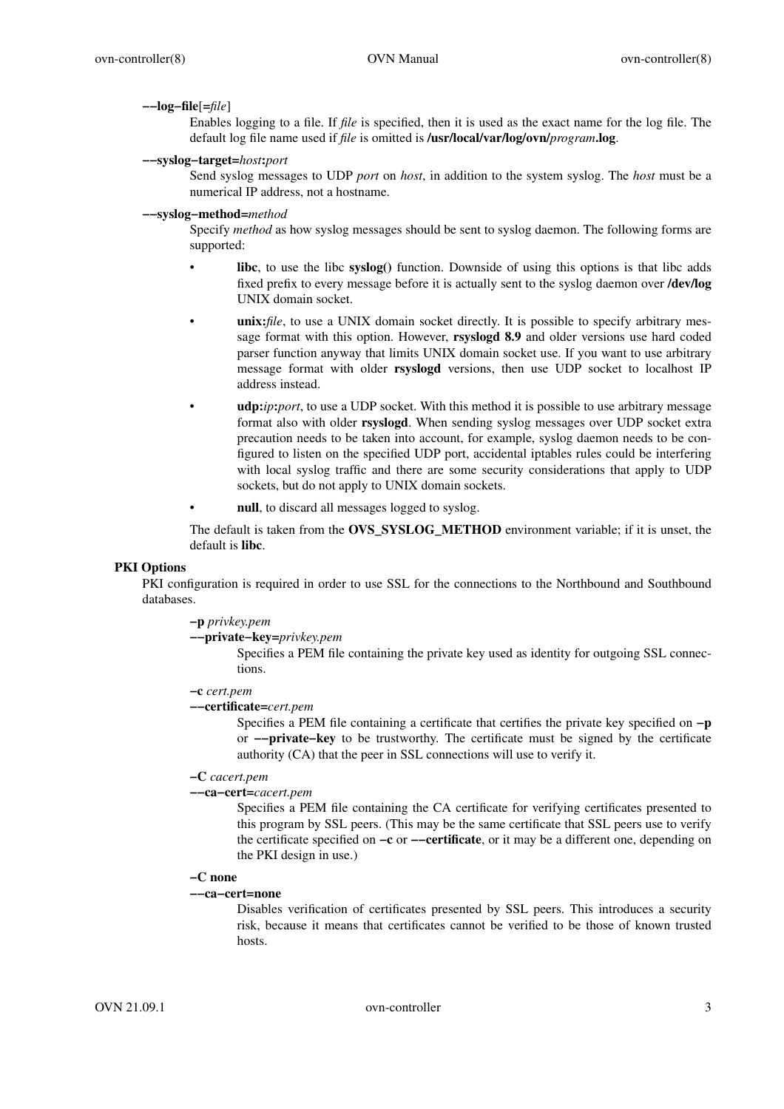#### **−−log−file**[**=***file*]

Enables logging to a file. If *file* is specified, then it is used as the exact name for the log file. The default log file name used if *file* is omitted is **/usr/local/var/log/ovn/***program***.log**.

## **−−syslog−target=***host***:***port*

Send syslog messages to UDP *port* on *host*, in addition to the system syslog. The *host* must be a numerical IP address, not a hostname.

## **−−syslog−method=***method*

Specify *method* as how syslog messages should be sent to syslog daemon. The following forms are supported:

- **libc**, to use the libc **syslog()** function. Downside of using this options is that libc adds fixed prefix to every message before it is actually sent to the syslog daemon over **/dev/log** UNIX domain socket.
- **unix:***file*, to use a UNIX domain socket directly. It is possible to specify arbitrary message format with this option. However, **rsyslogd 8.9** and older versions use hard coded parser function anyway that limits UNIX domain socket use. If you want to use arbitrary message format with older **rsyslogd** versions, then use UDP socket to localhost IP address instead.
- **udp:***ip***:***port*, to use a UDP socket. With this method it is possible to use arbitrary message format also with older **rsyslogd**. When sending syslog messages over UDP socket extra precaution needs to be taken into account, for example, syslog daemon needs to be configured to listen on the specified UDP port, accidental iptables rules could be interfering with local syslog traffic and there are some security considerations that apply to UDP sockets, but do not apply to UNIX domain sockets.
- null, to discard all messages logged to syslog.

The default is taken from the **OVS\_SYSLOG\_METHOD** environment variable; if it is unset, the default is **libc**.

# **PKI Options**

PKI configuration is required in order to use SSL for the connections to the Northbound and Southbound databases.

# **−p** *privkey.pem*

**−−private−key=***privkey.pem*

Specifies a PEM file containing the private key used as identity for outgoing SSL connections.

### **−c** *cert.pem*

### **−−certificate=***cert.pem*

Specifies a PEM file containing a certificate that certifies the private key specified on **−p** or **−−private−key** to be trustworthy. The certificate must be signed by the certificate authority (CA) that the peer in SSL connections will use to verify it.

## **−C** *cacert.pem*

# **−−ca−cert=***cacert.pem*

Specifies a PEM file containing the CA certificate for verifying certificates presented to this program by SSL peers. (This may be the same certificate that SSL peers use to verify the certificate specified on **−c** or **−−certificate**, or it may be a different one, depending on the PKI design in use.)

# **−C none**

#### **−−ca−cert=none**

Disables verification of certificates presented by SSL peers. This introduces a security risk, because it means that certificates cannot be verified to be those of known trusted hosts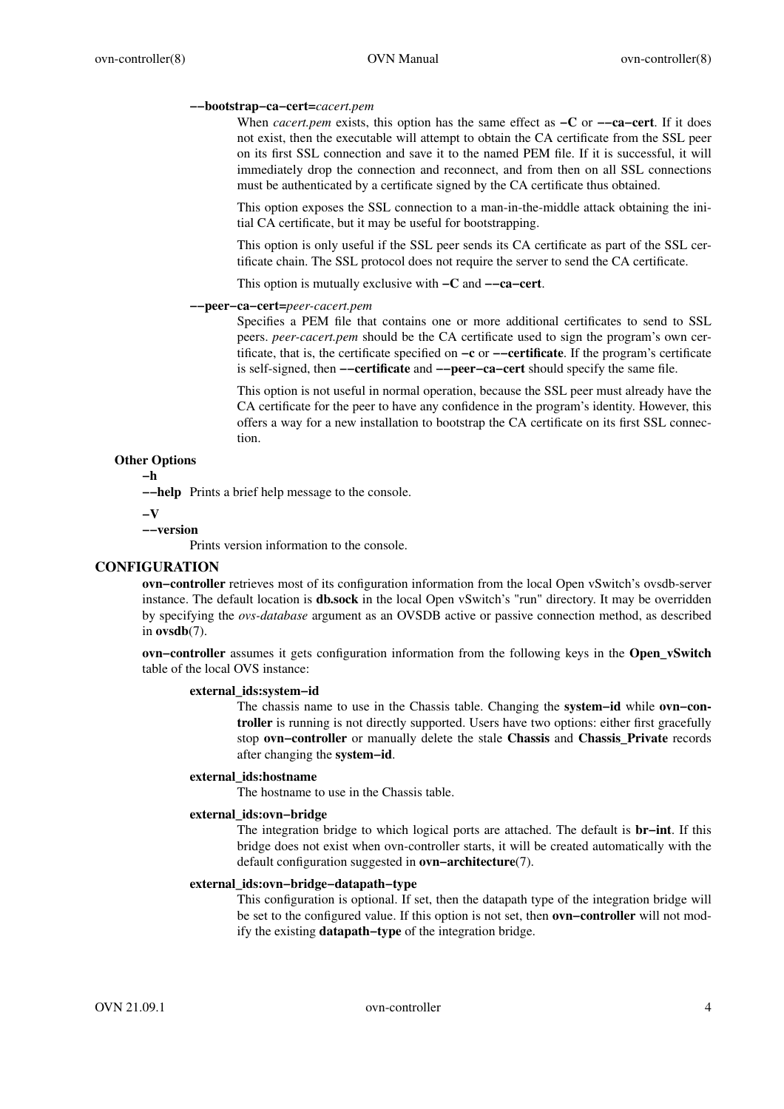# **−−bootstrap−ca−cert=***cacert.pem*

When *cacert.pem* exists, this option has the same effect as **−C** or **−−ca−cert**. If it does not exist, then the executable will attempt to obtain the CA certificate from the SSL peer on its first SSL connection and save it to the named PEM file. If it is successful, it will immediately drop the connection and reconnect, and from then on all SSL connections must be authenticated by a certificate signed by the CA certificate thus obtained.

This option exposes the SSL connection to a man-in-the-middle attack obtaining the initial CA certificate, but it may be useful for bootstrapping.

This option is only useful if the SSL peer sends its CA certificate as part of the SSL certificate chain. The SSL protocol does not require the server to send the CA certificate.

This option is mutually exclusive with **−C** and **−−ca−cert**.

#### **−−peer−ca−cert=***peer-cacert.pem*

Specifies a PEM file that contains one or more additional certificates to send to SSL peers. *peer-cacert.pem* should be the CA certificate used to sign the program's own certificate, that is, the certificate specified on **−c** or **−−certificate**. If the program's certificate is self-signed, then **−−certificate** and **−−peer−ca−cert** should specify the same file.

This option is not useful in normal operation, because the SSL peer must already have the CA certificate for the peer to have any confidence in the program's identity. However, this offers a way for a new installation to bootstrap the CA certificate on its first SSL connection.

## **Other Options**

**−h**

**−−help** Prints a brief help message to the console.

**−V**

**−−version**

Prints version information to the console.

# **CONFIGURATION**

**ovn−controller** retrieves most of its configuration information from the local Open vSwitch's ovsdb-server instance. The default location is **db.sock** in the local Open vSwitch's "run" directory. It may be overridden by specifying the *ovs-database* argument as an OVSDB active or passive connection method, as described in **ovsdb**(7).

**ovn−controller** assumes it gets configuration information from the following keys in the **Open\_vSwitch** table of the local OVS instance:

# **external\_ids:system−id**

The chassis name to use in the Chassis table. Changing the **system−id** while **ovn−controller** is running is not directly supported. Users have two options: either first gracefully stop **ovn−controller** or manually delete the stale **Chassis** and **Chassis\_Private** records after changing the **system−id**.

## **external\_ids:hostname**

The hostname to use in the Chassis table.

# **external\_ids:ovn−bridge**

The integration bridge to which logical ports are attached. The default is **br−int**. If this bridge does not exist when ovn-controller starts, it will be created automatically with the default configuration suggested in **ovn−architecture**(7).

## **external\_ids:ovn−bridge−datapath−type**

This configuration is optional. If set, then the datapath type of the integration bridge will be set to the configured value. If this option is not set, then **ovn−controller** will not modify the existing **datapath−type** of the integration bridge.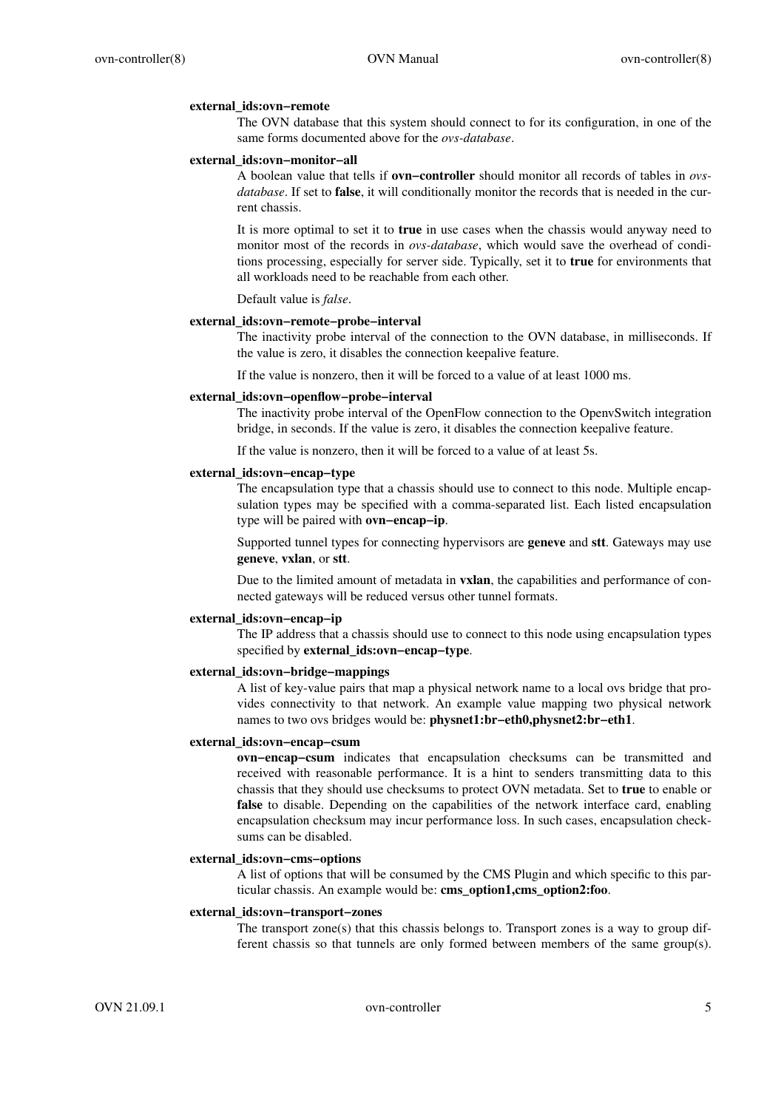### **external\_ids:ovn−remote**

The OVN database that this system should connect to for its configuration, in one of the same forms documented above for the *ovs-database*.

## **external\_ids:ovn−monitor−all**

A boolean value that tells if **ovn−controller** should monitor all records of tables in *ovsdatabase*. If set to **false**, it will conditionally monitor the records that is needed in the current chassis.

It is more optimal to set it to **true** in use cases when the chassis would anyway need to monitor most of the records in *ovs-database*, which would save the overhead of conditions processing, especially for server side. Typically, set it to **true** for environments that all workloads need to be reachable from each other.

Default value is *false*.

## **external\_ids:ovn−remote−probe−interval**

The inactivity probe interval of the connection to the OVN database, in milliseconds. If the value is zero, it disables the connection keepalive feature.

If the value is nonzero, then it will be forced to a value of at least 1000 ms.

#### **external\_ids:ovn−openflow−probe−interval**

The inactivity probe interval of the OpenFlow connection to the OpenvSwitch integration bridge, in seconds. If the value is zero, it disables the connection keepalive feature.

If the value is nonzero, then it will be forced to a value of at least 5s.

### **external\_ids:ovn−encap−type**

The encapsulation type that a chassis should use to connect to this node. Multiple encapsulation types may be specified with a comma-separated list. Each listed encapsulation type will be paired with **ovn−encap−ip**.

Supported tunnel types for connecting hypervisors are **geneve** and **stt**. Gateways may use **geneve**, **vxlan**, or **stt**.

Due to the limited amount of metadata in **vxlan**, the capabilities and performance of connected gateways will be reduced versus other tunnel formats.

#### **external\_ids:ovn−encap−ip**

The IP address that a chassis should use to connect to this node using encapsulation types specified by **external\_ids:ovn−encap−type**.

#### **external\_ids:ovn−bridge−mappings**

A list of key-value pairs that map a physical network name to a local ovs bridge that provides connectivity to that network. An example value mapping two physical network names to two ovs bridges would be: **physnet1:br−eth0,physnet2:br−eth1**.

### **external\_ids:ovn−encap−csum**

**ovn−encap−csum** indicates that encapsulation checksums can be transmitted and received with reasonable performance. It is a hint to senders transmitting data to this chassis that they should use checksums to protect OVN metadata. Set to **true** to enable or **false** to disable. Depending on the capabilities of the network interface card, enabling encapsulation checksum may incur performance loss. In such cases, encapsulation checksums can be disabled.

### **external\_ids:ovn−cms−options**

A list of options that will be consumed by the CMS Plugin and which specific to this particular chassis. An example would be: **cms\_option1,cms\_option2:foo**.

# **external\_ids:ovn−transport−zones**

The transport zone(s) that this chassis belongs to. Transport zones is a way to group different chassis so that tunnels are only formed between members of the same group(s).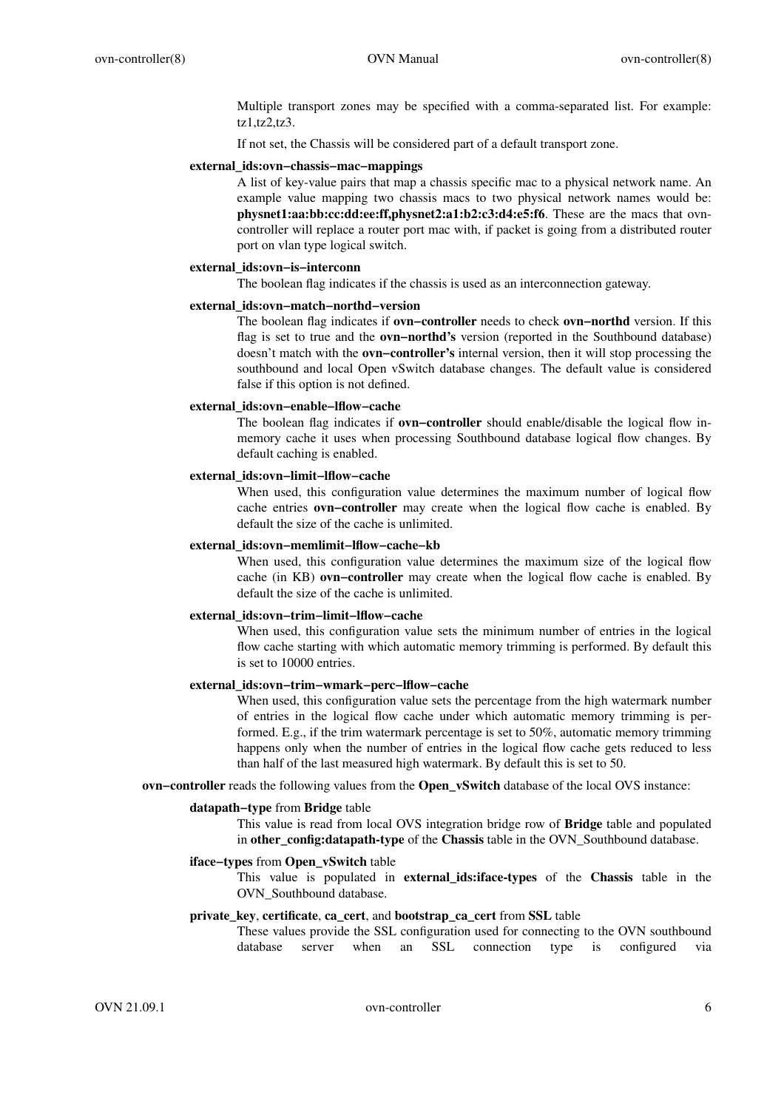Multiple transport zones may be specified with a comma-separated list. For example: tz1,tz2,tz3.

If not set, the Chassis will be considered part of a default transport zone.

# **external\_ids:ovn−chassis−mac−mappings**

A list of key-value pairs that map a chassis specific mac to a physical network name. An example value mapping two chassis macs to two physical network names would be: **physnet1:aa:bb:cc:dd:ee:ff,physnet2:a1:b2:c3:d4:e5:f6**. These are the macs that ovncontroller will replace a router port mac with, if packet is going from a distributed router port on vlan type logical switch.

# **external\_ids:ovn−is−interconn**

The boolean flag indicates if the chassis is used as an interconnection gateway.

### **external\_ids:ovn−match−northd−version**

The boolean flag indicates if **ovn−controller** needs to check **ovn−northd** version. If this flag is set to true and the **ovn−northd's** version (reported in the Southbound database) doesn't match with the **ovn−controller's** internal version, then it will stop processing the southbound and local Open vSwitch database changes. The default value is considered false if this option is not defined.

## **external\_ids:ovn−enable−lflow−cache**

The boolean flag indicates if **ovn−controller** should enable/disable the logical flow inmemory cache it uses when processing Southbound database logical flow changes. By default caching is enabled.

### **external\_ids:ovn−limit−lflow−cache**

When used, this configuration value determines the maximum number of logical flow cache entries **ovn−controller** may create when the logical flow cache is enabled. By default the size of the cache is unlimited.

# **external\_ids:ovn−memlimit−lflow−cache−kb**

When used, this configuration value determines the maximum size of the logical flow cache (in KB) **ovn−controller** may create when the logical flow cache is enabled. By default the size of the cache is unlimited.

# **external\_ids:ovn−trim−limit−lflow−cache**

When used, this configuration value sets the minimum number of entries in the logical flow cache starting with which automatic memory trimming is performed. By default this is set to 10000 entries.

# **external\_ids:ovn−trim−wmark−perc−lflow−cache**

When used, this configuration value sets the percentage from the high watermark number of entries in the logical flow cache under which automatic memory trimming is performed. E.g., if the trim watermark percentage is set to 50%, automatic memory trimming happens only when the number of entries in the logical flow cache gets reduced to less than half of the last measured high watermark. By default this is set to 50.

**ovn−controller** reads the following values from the **Open\_vSwitch** database of the local OVS instance:

### **datapath−type** from **Bridge** table

This value is read from local OVS integration bridge row of **Bridge** table and populated in **other\_config:datapath-type** of the **Chassis** table in the OVN\_Southbound database.

#### **iface−types** from **Open\_vSwitch** table

This value is populated in **external\_ids:iface-types** of the **Chassis** table in the OVN Southbound database.

# **private\_key**, **certificate**, **ca\_cert**, and **bootstrap\_ca\_cert** from **SSL** table

These values provide the SSL configuration used for connecting to the OVN southbound database server when an SSL connection type is configured via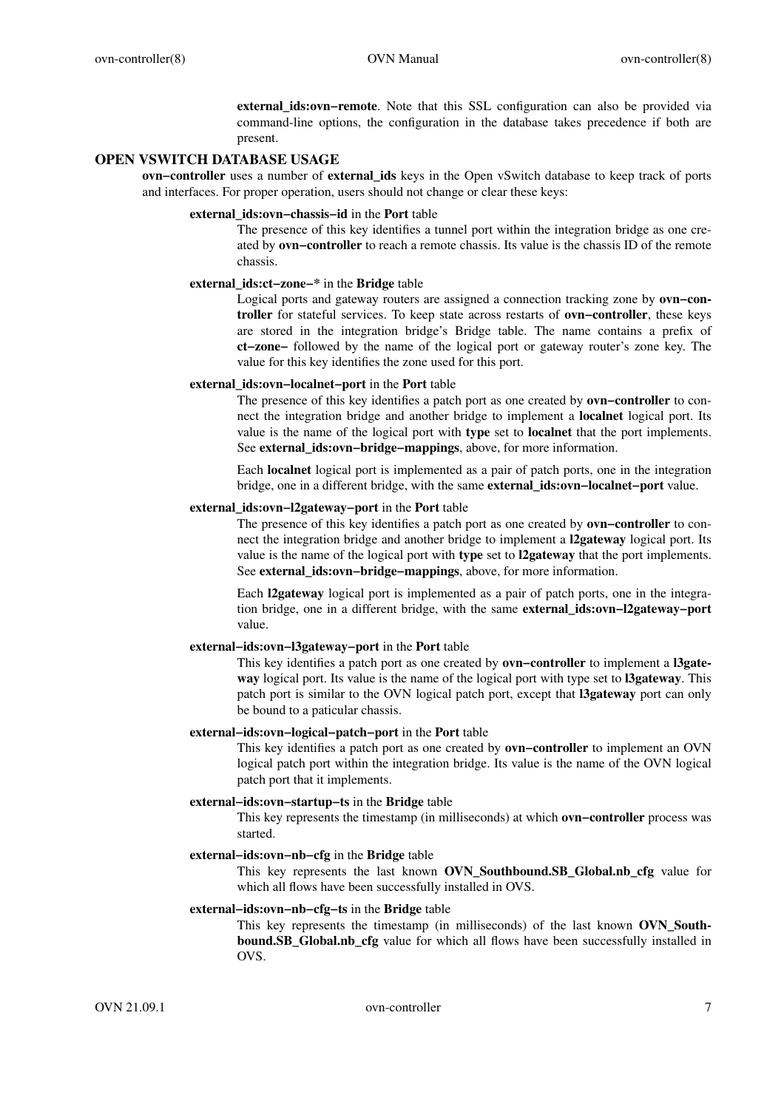**external\_ids:ovn−remote**. Note that this SSL configuration can also be provided via command-line options, the configuration in the database takes precedence if both are present.

# **OPEN VSWITCH DATABASE USAGE**

**ovn−controller** uses a number of **external\_ids** keys in the Open vSwitch database to keep track of ports and interfaces. For proper operation, users should not change or clear these keys:

# **external\_ids:ovn−chassis−id** in the **Port** table

The presence of this key identifies a tunnel port within the integration bridge as one created by **ovn−controller** to reach a remote chassis. Its value is the chassis ID of the remote chassis.

# **external\_ids:ct−zone−\*** in the **Bridge** table

Logical ports and gateway routers are assigned a connection tracking zone by **ovn−controller** for stateful services. To keep state across restarts of **ovn−controller**, these keys are stored in the integration bridge's Bridge table. The name contains a prefix of **ct−zone−** followed by the name of the logical port or gateway router's zone key. The value for this key identifies the zone used for this port.

## **external\_ids:ovn−localnet−port** in the **Port** table

The presence of this key identifies a patch port as one created by **ovn−controller** to connect the integration bridge and another bridge to implement a **localnet** logical port. Its value is the name of the logical port with **type** set to **localnet** that the port implements. See **external\_ids:ovn−bridge−mappings**, above, for more information.

Each **localnet** logical port is implemented as a pair of patch ports, one in the integration bridge, one in a different bridge, with the same **external\_ids:ovn−localnet−port** value.

# **external\_ids:ovn−l2gateway−port** in the **Port** table

The presence of this key identifies a patch port as one created by **ovn−controller** to connect the integration bridge and another bridge to implement a **l2gateway** logical port. Its value is the name of the logical port with **type** set to **l2gateway** that the port implements. See **external\_ids:ovn−bridge−mappings**, above, for more information.

Each **l2gateway** logical port is implemented as a pair of patch ports, one in the integration bridge, one in a different bridge, with the same **external\_ids:ovn−l2gateway−port** value.

# **external−ids:ovn−l3gateway−port** in the **Port** table

This key identifies a patch port as one created by **ovn−controller** to implement a **l3gateway** logical port. Its value is the name of the logical port with type set to **l3gateway**. This patch port is similar to the OVN logical patch port, except that **l3gateway** port can only be bound to a paticular chassis.

## **external−ids:ovn−logical−patch−port** in the **Port** table

This key identifies a patch port as one created by **ovn−controller** to implement an OVN logical patch port within the integration bridge. Its value is the name of the OVN logical patch port that it implements.

### **external−ids:ovn−startup−ts** in the **Bridge** table

This key represents the timestamp (in milliseconds) at which **ovn−controller** process was started.

## **external−ids:ovn−nb−cfg** in the **Bridge** table

This key represents the last known **OVN\_Southbound.SB\_Global.nb\_cfg** value for which all flows have been successfully installed in OVS.

# **external−ids:ovn−nb−cfg−ts** in the **Bridge** table

This key represents the timestamp (in milliseconds) of the last known **OVN\_Southbound.SB\_Global.nb\_cfg** value for which all flows have been successfully installed in OVS.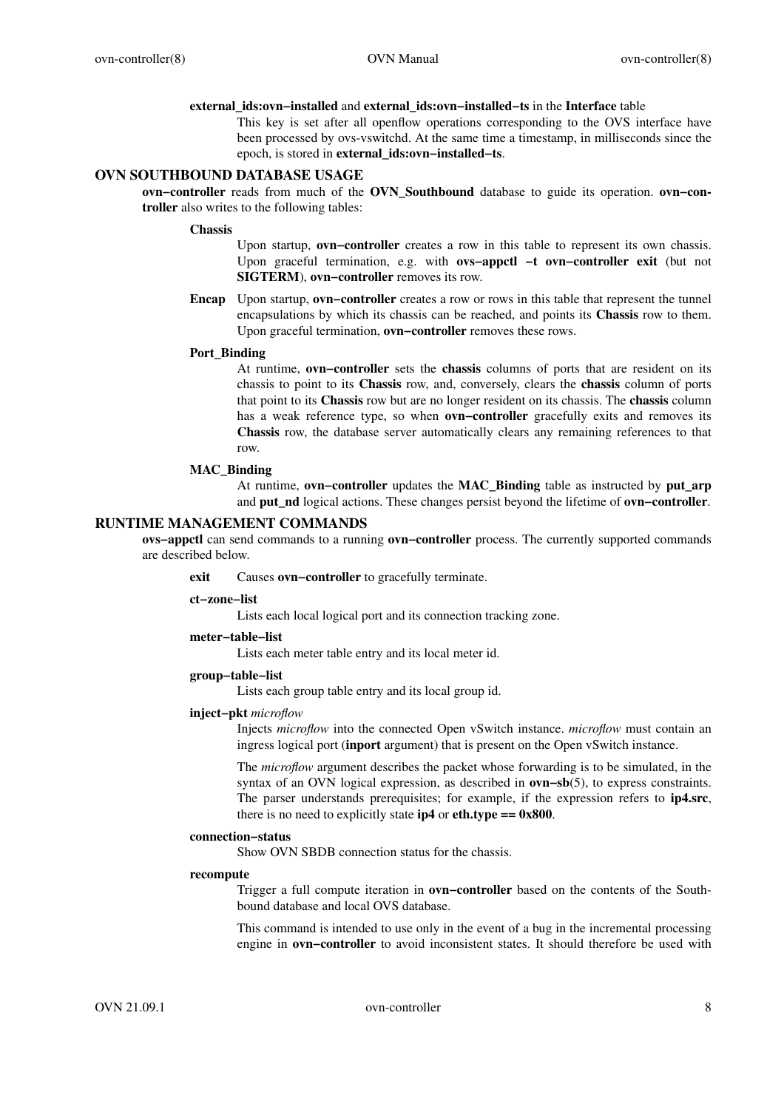#### **external\_ids:ovn−installed** and **external\_ids:ovn−installed−ts** in the **Interface** table

This key is set after all openflow operations corresponding to the OVS interface have been processed by ovs-vswitchd. At the same time a timestamp, in milliseconds since the epoch, is stored in **external\_ids:ovn−installed−ts**.

# **OVN SOUTHBOUND DATABASE USAGE**

**ovn−controller** reads from much of the **OVN\_Southbound** database to guide its operation. **ovn−controller** also writes to the following tables:

#### **Chassis**

Upon startup, **ovn−controller** creates a row in this table to represent its own chassis. Upon graceful termination, e.g. with **ovs−appctl −t ovn−controller exit** (but not **SIGTERM**), **ovn−controller** removes its row.

**Encap** Upon startup, **ovn−controller** creates a row or rows in this table that represent the tunnel encapsulations by which its chassis can be reached, and points its **Chassis** row to them. Upon graceful termination, **ovn−controller** removes these rows.

# **Port\_Binding**

At runtime, **ovn−controller** sets the **chassis** columns of ports that are resident on its chassis to point to its **Chassis** row, and, conversely, clears the **chassis** column of ports that point to its **Chassis** row but are no longer resident on its chassis. The **chassis** column has a weak reference type, so when **ovn−controller** gracefully exits and removes its **Chassis** row, the database server automatically clears any remaining references to that row.

### **MAC\_Binding**

At runtime, **ovn−controller** updates the **MAC\_Binding** table as instructed by **put\_arp** and **put\_nd** logical actions. These changes persist beyond the lifetime of **ovn−controller**.

# **RUNTIME MANAGEMENT COMMANDS**

**ovs−appctl** can send commands to a running **ovn−controller** process. The currently supported commands are described below.

**exit** Causes **ovn−controller** to gracefully terminate.

#### **ct−zone−list**

Lists each local logical port and its connection tracking zone.

#### **meter−table−list**

Lists each meter table entry and its local meter id.

# **group−table−list**

Lists each group table entry and its local group id.

# **inject−pkt** *microflow*

Injects *microflow* into the connected Open vSwitch instance. *microflow* must contain an ingress logical port (**inport** argument) that is present on the Open vSwitch instance.

The *microflow* argument describes the packet whose forwarding is to be simulated, in the syntax of an OVN logical expression, as described in **ovn−sb**(5), to express constraints. The parser understands prerequisites; for example, if the expression refers to **ip4.src**, there is no need to explicitly state  $ip4$  or  $eth. type == 0x800$ .

# **connection−status**

Show OVN SBDB connection status for the chassis.

#### **recompute**

Trigger a full compute iteration in **ovn−controller** based on the contents of the Southbound database and local OVS database.

This command is intended to use only in the event of a bug in the incremental processing engine in **ovn−controller** to avoid inconsistent states. It should therefore be used with